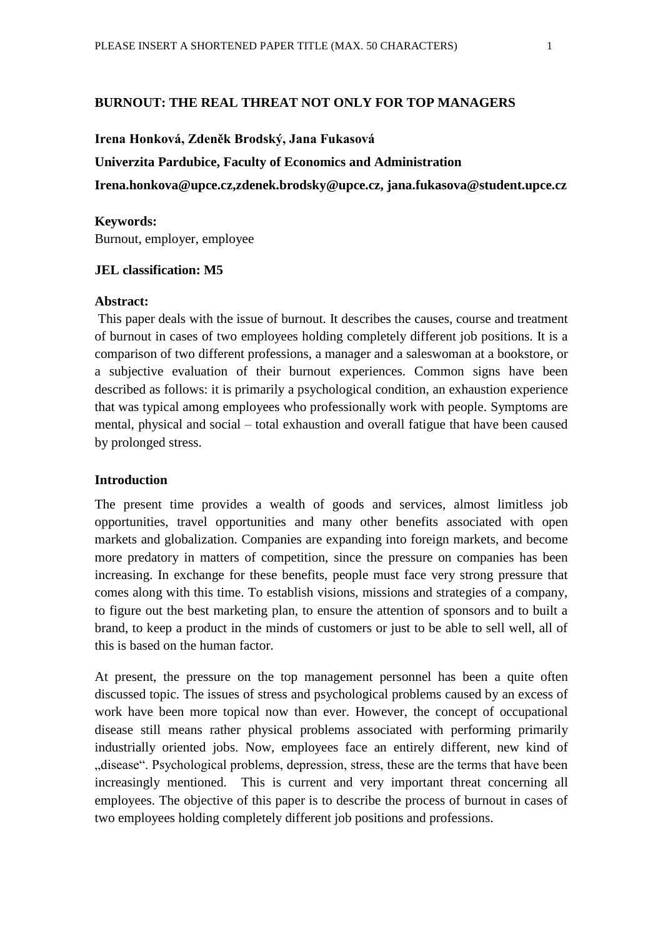#### **BURNOUT: THE REAL THREAT NOT ONLY FOR TOP MANAGERS**

#### **Irena Honková, Zdeněk Brodský, Jana Fukasová**

### **Univerzita Pardubice, Faculty of Economics and Administration**

**Irena.honkova@upce.cz,zdenek.brodsky@upce.cz, jana.fukasova@student.upce.cz**

#### **Keywords:**

Burnout, employer, employee

## **JEL classification: M5**

# **Abstract:**

This paper deals with the issue of burnout. It describes the causes, course and treatment of burnout in cases of two employees holding completely different job positions. It is a comparison of two different professions, a manager and a saleswoman at a bookstore, or a subjective evaluation of their burnout experiences. Common signs have been described as follows: it is primarily a psychological condition, an exhaustion experience that was typical among employees who professionally work with people. Symptoms are mental, physical and social – total exhaustion and overall fatigue that have been caused by prolonged stress.

# **Introduction**

The present time provides a wealth of goods and services, almost limitless job opportunities, travel opportunities and many other benefits associated with open markets and globalization. Companies are expanding into foreign markets, and become more predatory in matters of competition, since the pressure on companies has been increasing. In exchange for these benefits, people must face very strong pressure that comes along with this time. To establish visions, missions and strategies of a company, to figure out the best marketing plan, to ensure the attention of sponsors and to built a brand, to keep a product in the minds of customers or just to be able to sell well, all of this is based on the human factor.

At present, the pressure on the top management personnel has been a quite often discussed topic. The issues of stress and psychological problems caused by an excess of work have been more topical now than ever. However, the concept of occupational disease still means rather physical problems associated with performing primarily industrially oriented jobs. Now, employees face an entirely different, new kind of disease". Psychological problems, depression, stress, these are the terms that have been increasingly mentioned. This is current and very important threat concerning all employees. The objective of this paper is to describe the process of burnout in cases of two employees holding completely different job positions and professions.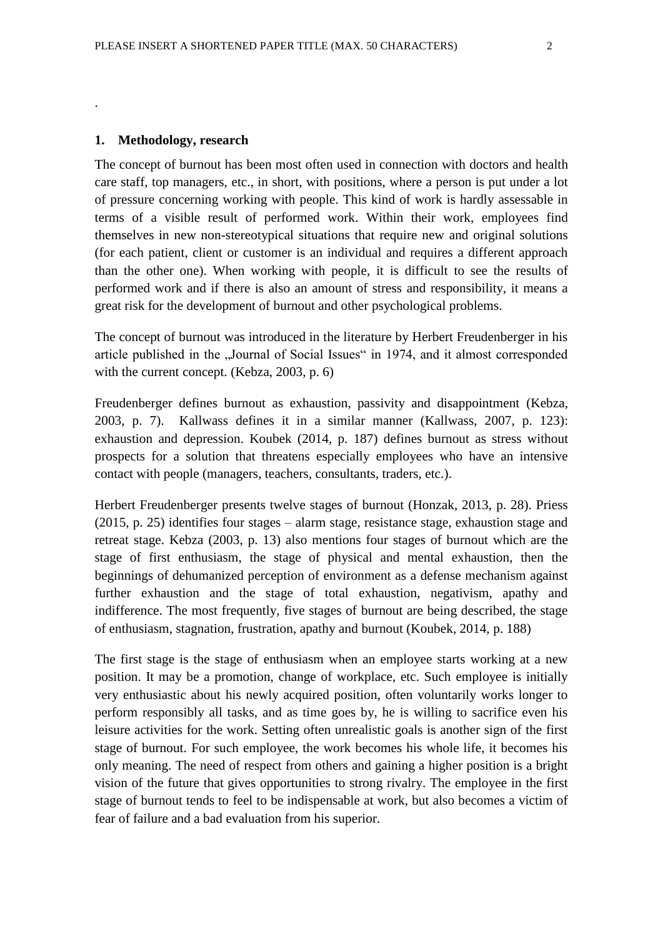.

The concept of burnout has been most often used in connection with doctors and health care staff, top managers, etc., in short, with positions, where a person is put under a lot of pressure concerning working with people. This kind of work is hardly assessable in terms of a visible result of performed work. Within their work, employees find themselves in new non-stereotypical situations that require new and original solutions (for each patient, client or customer is an individual and requires a different approach than the other one). When working with people, it is difficult to see the results of performed work and if there is also an amount of stress and responsibility, it means a great risk for the development of burnout and other psychological problems.

The concept of burnout was introduced in the literature by Herbert Freudenberger in his article published in the "Journal of Social Issues" in 1974, and it almost corresponded with the current concept. (Kebza, 2003, p. 6)

Freudenberger defines burnout as exhaustion, passivity and disappointment (Kebza, 2003, p. 7). Kallwass defines it in a similar manner (Kallwass, 2007, p. 123): exhaustion and depression. Koubek (2014, p. 187) defines burnout as stress without prospects for a solution that threatens especially employees who have an intensive contact with people (managers, teachers, consultants, traders, etc.).

Herbert Freudenberger presents twelve stages of burnout (Honzak, 2013, p. 28). Priess (2015, p. 25) identifies four stages – alarm stage, resistance stage, exhaustion stage and retreat stage. Kebza (2003, p. 13) also mentions four stages of burnout which are the stage of first enthusiasm, the stage of physical and mental exhaustion, then the beginnings of dehumanized perception of environment as a defense mechanism against further exhaustion and the stage of total exhaustion, negativism, apathy and indifference. The most frequently, five stages of burnout are being described, the stage of enthusiasm, stagnation, frustration, apathy and burnout (Koubek, 2014, p. 188)

The first stage is the stage of enthusiasm when an employee starts working at a new position. It may be a promotion, change of workplace, etc. Such employee is initially very enthusiastic about his newly acquired position, often voluntarily works longer to perform responsibly all tasks, and as time goes by, he is willing to sacrifice even his leisure activities for the work. Setting often unrealistic goals is another sign of the first stage of burnout. For such employee, the work becomes his whole life, it becomes his only meaning. The need of respect from others and gaining a higher position is a bright vision of the future that gives opportunities to strong rivalry. The employee in the first stage of burnout tends to feel to be indispensable at work, but also becomes a victim of fear of failure and a bad evaluation from his superior.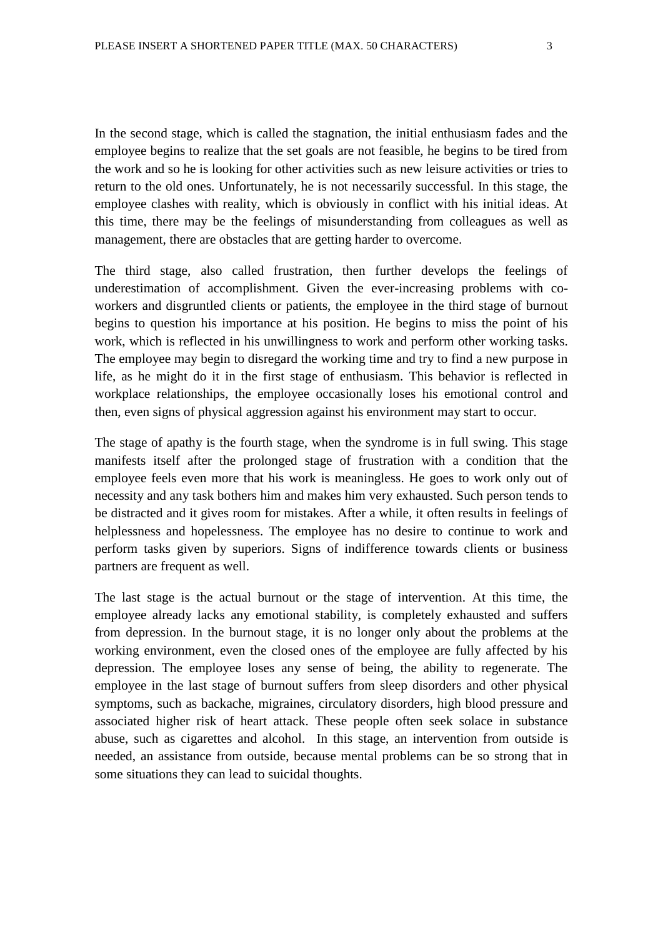In the second stage, which is called the stagnation, the initial enthusiasm fades and the employee begins to realize that the set goals are not feasible, he begins to be tired from the work and so he is looking for other activities such as new leisure activities or tries to return to the old ones. Unfortunately, he is not necessarily successful. In this stage, the employee clashes with reality, which is obviously in conflict with his initial ideas. At this time, there may be the feelings of misunderstanding from colleagues as well as management, there are obstacles that are getting harder to overcome.

The third stage, also called frustration, then further develops the feelings of underestimation of accomplishment. Given the ever-increasing problems with coworkers and disgruntled clients or patients, the employee in the third stage of burnout begins to question his importance at his position. He begins to miss the point of his work, which is reflected in his unwillingness to work and perform other working tasks. The employee may begin to disregard the working time and try to find a new purpose in life, as he might do it in the first stage of enthusiasm. This behavior is reflected in workplace relationships, the employee occasionally loses his emotional control and then, even signs of physical aggression against his environment may start to occur.

The stage of apathy is the fourth stage, when the syndrome is in full swing. This stage manifests itself after the prolonged stage of frustration with a condition that the employee feels even more that his work is meaningless. He goes to work only out of necessity and any task bothers him and makes him very exhausted. Such person tends to be distracted and it gives room for mistakes. After a while, it often results in feelings of helplessness and hopelessness. The employee has no desire to continue to work and perform tasks given by superiors. Signs of indifference towards clients or business partners are frequent as well.

The last stage is the actual burnout or the stage of intervention. At this time, the employee already lacks any emotional stability, is completely exhausted and suffers from depression. In the burnout stage, it is no longer only about the problems at the working environment, even the closed ones of the employee are fully affected by his depression. The employee loses any sense of being, the ability to regenerate. The employee in the last stage of burnout suffers from sleep disorders and other physical symptoms, such as backache, migraines, circulatory disorders, high blood pressure and associated higher risk of heart attack. These people often seek solace in substance abuse, such as cigarettes and alcohol. In this stage, an intervention from outside is needed, an assistance from outside, because mental problems can be so strong that in some situations they can lead to suicidal thoughts.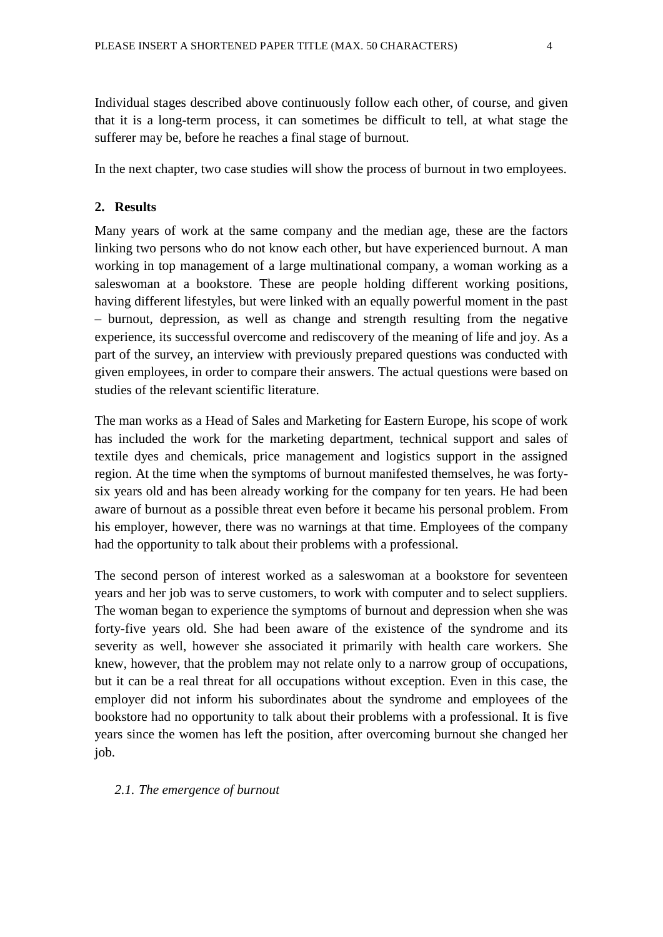Individual stages described above continuously follow each other, of course, and given that it is a long-term process, it can sometimes be difficult to tell, at what stage the sufferer may be, before he reaches a final stage of burnout.

In the next chapter, two case studies will show the process of burnout in two employees.

# **2. Results**

Many years of work at the same company and the median age, these are the factors linking two persons who do not know each other, but have experienced burnout. A man working in top management of a large multinational company, a woman working as a saleswoman at a bookstore. These are people holding different working positions, having different lifestyles, but were linked with an equally powerful moment in the past – burnout, depression, as well as change and strength resulting from the negative experience, its successful overcome and rediscovery of the meaning of life and joy. As a part of the survey, an interview with previously prepared questions was conducted with given employees, in order to compare their answers. The actual questions were based on studies of the relevant scientific literature.

The man works as a Head of Sales and Marketing for Eastern Europe, his scope of work has included the work for the marketing department, technical support and sales of textile dyes and chemicals, price management and logistics support in the assigned region. At the time when the symptoms of burnout manifested themselves, he was fortysix years old and has been already working for the company for ten years. He had been aware of burnout as a possible threat even before it became his personal problem. From his employer, however, there was no warnings at that time. Employees of the company had the opportunity to talk about their problems with a professional.

The second person of interest worked as a saleswoman at a bookstore for seventeen years and her job was to serve customers, to work with computer and to select suppliers. The woman began to experience the symptoms of burnout and depression when she was forty-five years old. She had been aware of the existence of the syndrome and its severity as well, however she associated it primarily with health care workers. She knew, however, that the problem may not relate only to a narrow group of occupations, but it can be a real threat for all occupations without exception. Even in this case, the employer did not inform his subordinates about the syndrome and employees of the bookstore had no opportunity to talk about their problems with a professional. It is five years since the women has left the position, after overcoming burnout she changed her job.

# *2.1. The emergence of burnout*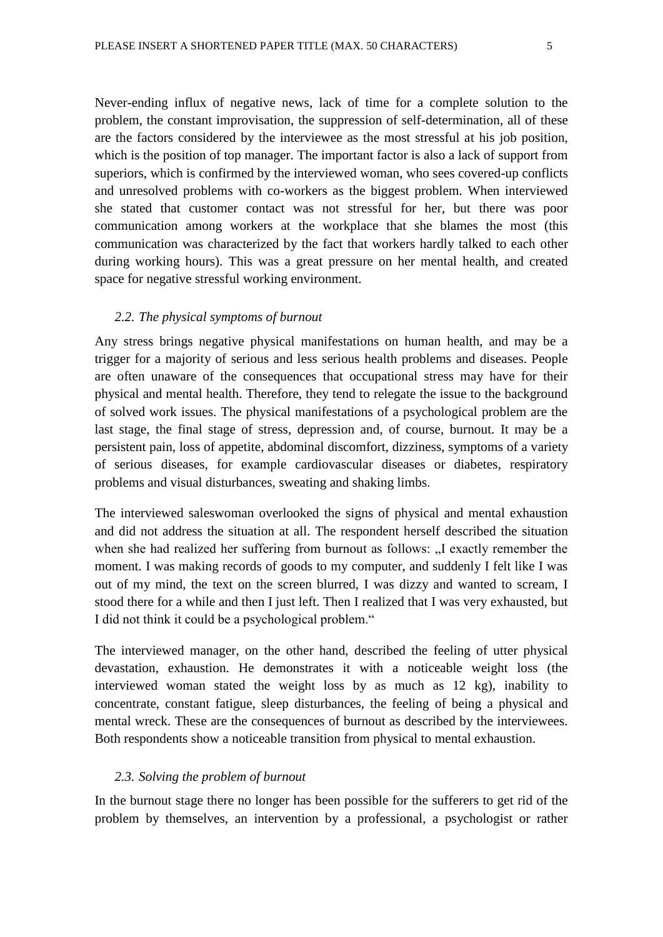Never-ending influx of negative news, lack of time for a complete solution to the problem, the constant improvisation, the suppression of self-determination, all of these are the factors considered by the interviewee as the most stressful at his job position, which is the position of top manager. The important factor is also a lack of support from superiors, which is confirmed by the interviewed woman, who sees covered-up conflicts and unresolved problems with co-workers as the biggest problem. When interviewed she stated that customer contact was not stressful for her, but there was poor communication among workers at the workplace that she blames the most (this communication was characterized by the fact that workers hardly talked to each other during working hours). This was a great pressure on her mental health, and created space for negative stressful working environment.

# *2.2. The physical symptoms of burnout*

Any stress brings negative physical manifestations on human health, and may be a trigger for a majority of serious and less serious health problems and diseases. People are often unaware of the consequences that occupational stress may have for their physical and mental health. Therefore, they tend to relegate the issue to the background of solved work issues. The physical manifestations of a psychological problem are the last stage, the final stage of stress, depression and, of course, burnout. It may be a persistent pain, loss of appetite, abdominal discomfort, dizziness, symptoms of a variety of serious diseases, for example cardiovascular diseases or diabetes, respiratory problems and visual disturbances, sweating and shaking limbs.

The interviewed saleswoman overlooked the signs of physical and mental exhaustion and did not address the situation at all. The respondent herself described the situation when she had realized her suffering from burnout as follows: "I exactly remember the moment. I was making records of goods to my computer, and suddenly I felt like I was out of my mind, the text on the screen blurred, I was dizzy and wanted to scream, I stood there for a while and then I just left. Then I realized that I was very exhausted, but I did not think it could be a psychological problem."

The interviewed manager, on the other hand, described the feeling of utter physical devastation, exhaustion. He demonstrates it with a noticeable weight loss (the interviewed woman stated the weight loss by as much as 12 kg), inability to concentrate, constant fatigue, sleep disturbances, the feeling of being a physical and mental wreck. These are the consequences of burnout as described by the interviewees. Both respondents show a noticeable transition from physical to mental exhaustion.

## *2.3. Solving the problem of burnout*

In the burnout stage there no longer has been possible for the sufferers to get rid of the problem by themselves, an intervention by a professional, a psychologist or rather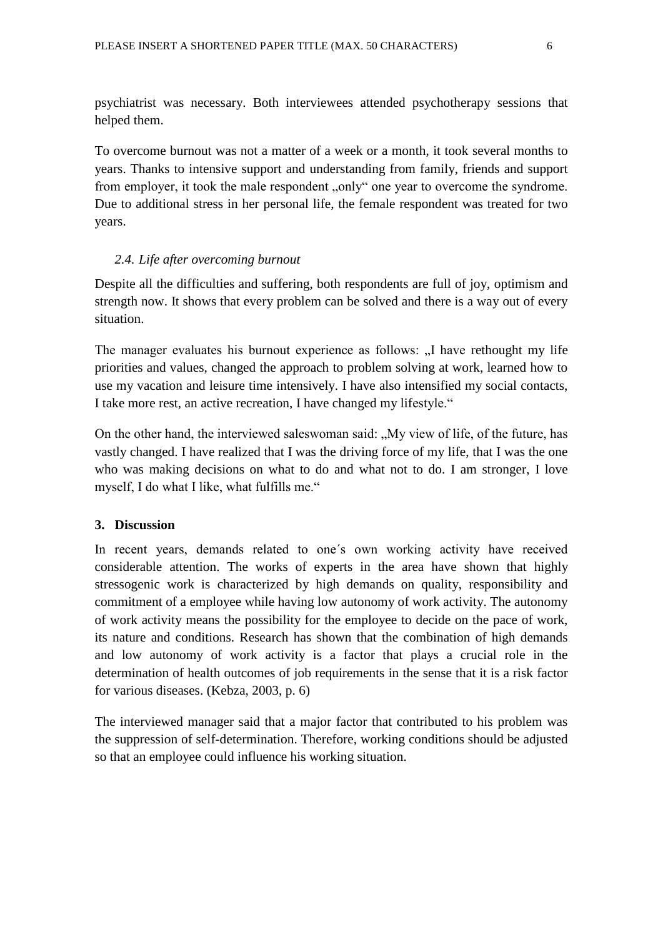psychiatrist was necessary. Both interviewees attended psychotherapy sessions that helped them.

To overcome burnout was not a matter of a week or a month, it took several months to years. Thanks to intensive support and understanding from family, friends and support from employer, it took the male respondent "only" one year to overcome the syndrome. Due to additional stress in her personal life, the female respondent was treated for two years.

# *2.4. Life after overcoming burnout*

Despite all the difficulties and suffering, both respondents are full of joy, optimism and strength now. It shows that every problem can be solved and there is a way out of every situation.

The manager evaluates his burnout experience as follows: "I have rethought my life priorities and values, changed the approach to problem solving at work, learned how to use my vacation and leisure time intensively. I have also intensified my social contacts, I take more rest, an active recreation, I have changed my lifestyle."

On the other hand, the interviewed saleswoman said: "My view of life, of the future, has vastly changed. I have realized that I was the driving force of my life, that I was the one who was making decisions on what to do and what not to do. I am stronger, I love myself, I do what I like, what fulfills me."

# **3. Discussion**

In recent years, demands related to one´s own working activity have received considerable attention. The works of experts in the area have shown that highly stressogenic work is characterized by high demands on quality, responsibility and commitment of a employee while having low autonomy of work activity. The autonomy of work activity means the possibility for the employee to decide on the pace of work, its nature and conditions. Research has shown that the combination of high demands and low autonomy of work activity is a factor that plays a crucial role in the determination of health outcomes of job requirements in the sense that it is a risk factor for various diseases. (Kebza, 2003, p. 6)

The interviewed manager said that a major factor that contributed to his problem was the suppression of self-determination. Therefore, working conditions should be adjusted so that an employee could influence his working situation.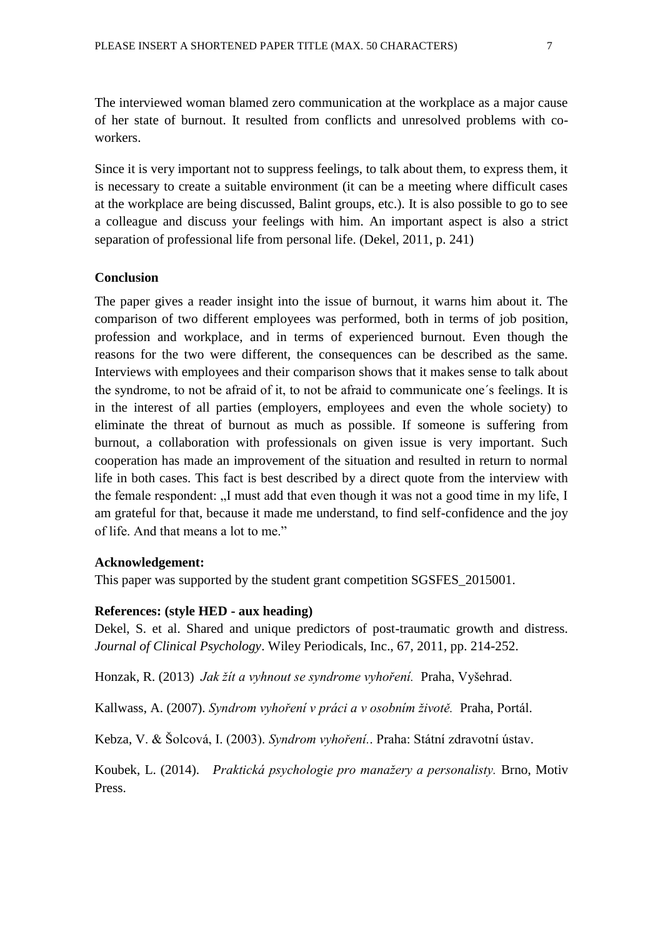The interviewed woman blamed zero communication at the workplace as a major cause of her state of burnout. It resulted from conflicts and unresolved problems with coworkers.

Since it is very important not to suppress feelings, to talk about them, to express them, it is necessary to create a suitable environment (it can be a meeting where difficult cases at the workplace are being discussed, Balint groups, etc.). It is also possible to go to see a colleague and discuss your feelings with him. An important aspect is also a strict separation of professional life from personal life. (Dekel, 2011, p. 241)

## **Conclusion**

The paper gives a reader insight into the issue of burnout, it warns him about it. The comparison of two different employees was performed, both in terms of job position, profession and workplace, and in terms of experienced burnout. Even though the reasons for the two were different, the consequences can be described as the same. Interviews with employees and their comparison shows that it makes sense to talk about the syndrome, to not be afraid of it, to not be afraid to communicate one´s feelings. It is in the interest of all parties (employers, employees and even the whole society) to eliminate the threat of burnout as much as possible. If someone is suffering from burnout, a collaboration with professionals on given issue is very important. Such cooperation has made an improvement of the situation and resulted in return to normal life in both cases. This fact is best described by a direct quote from the interview with the female respondent: "I must add that even though it was not a good time in my life, I am grateful for that, because it made me understand, to find self-confidence and the joy of life. And that means a lot to me."

#### **Acknowledgement:**

This paper was supported by the student grant competition SGSFES\_2015001.

# **References: (style HED - aux heading)**

Dekel, S. et al. Shared and unique predictors of post-traumatic growth and distress. *Journal of Clinical Psychology*. Wiley Periodicals, Inc., 67, 2011, pp. 214-252.

Honzak, R. (2013) *Jak žít a vyhnout se syndrome vyhoření.* Praha, Vyšehrad.

Kallwass, A. (2007). *Syndrom vyhoření v práci a v osobním životě.* Praha, Portál.

Kebza, V. & Šolcová, I. (2003). *Syndrom vyhoření.*. Praha: Státní zdravotní ústav.

Koubek, L. (2014). *Praktická psychologie pro manažery a personalisty.* Brno, Motiv Press.